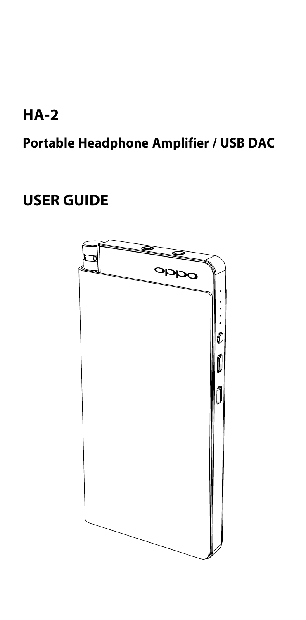## **HA-2**

**Portable Headphone Amplifier / USB DAC**

### **USER GUIDE**

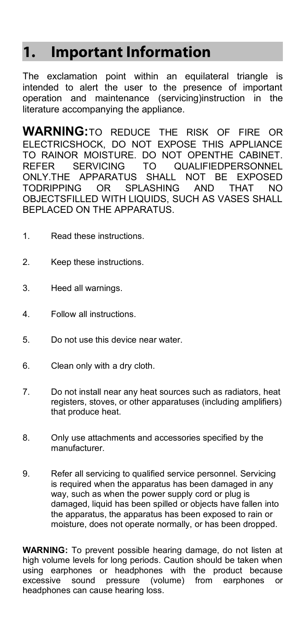### **1. Important Information**

The exclamation point within an equilateral triangle is intended to alert the user to the presence of important operation and maintenance (servicing)instruction in the literature accompanying the appliance.

**WARNING:**TO REDUCE THE RISK OF FIRE OR ELECTRICSHOCK, DO NOT EXPOSE THIS APPLIANCE TO RAINOR MOISTURE. DO NOT OPENTHE CABINET. REFER SERVICING TO QUALIFIEDPERSONNEL<br>
ONLYTHE APPARATLIS SHALL NOT BE EXPOSED US SHALL NOT BE EXPOSED TODRIPPING OR SPLASHING AND THAT NO OBJECTSFILLED WITH LIQUIDS, SUCH AS VASES SHALL BEPLACED ON THE APPARATUS.

- 1. Read these instructions.
- 2. Keep these instructions.
- 3. Heed all warnings.
- 4. Follow all instructions.
- 5. Do not use this device near water.
- 6. Clean only with a dry cloth.
- 7. Do not install near any heat sources such as radiators, heat registers, stoves, or other apparatuses (including amplifiers) that produce heat.
- 8. Only use attachments and accessories specified by the manufacturer.
- 9. Refer all servicing to qualified service personnel. Servicing is required when the apparatus has been damaged in any way, such as when the power supply cord or plug is damaged, liquid has been spilled or objects have fallen into the apparatus, the apparatus has been exposed to rain or moisture, does not operate normally, or has been dropped.

**WARNING:** To prevent possible hearing damage, do not listen at high volume levels for long periods. Caution should be taken when using earphones or headphones with the product because excessive sound pressure (volume) from earphones or headphones can cause hearing loss.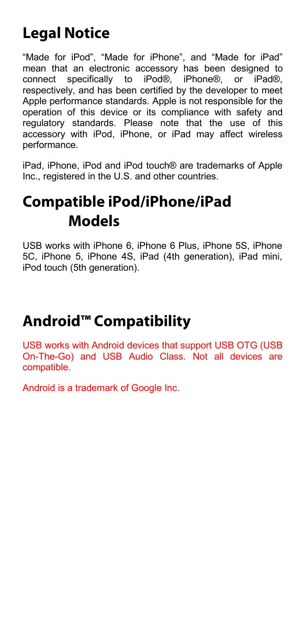## **Legal Notice**

"Made for iPod", "Made for iPhone", and "Made for iPad" mean that an electronic accessory has been designed to connect specifically to iPod®, iPhone®, or iPad®, respectively, and has been certified by the developer to meet Apple performance standards. Apple is not responsible for the operation of this device or its compliance with safety and regulatory standards. Please note that the use of this accessory with iPod, iPhone, or iPad may affect wireless performance.

iPad, iPhone, iPod and iPod touch® are trademarks of Apple Inc., registered in the U.S. and other countries.

## **Compatible iPod/iPhone/iPad Models**

USB works with iPhone 6, iPhone 6 Plus, iPhone 5S, iPhone 5C, iPhone 5, iPhone 4S, iPad (4th generation), iPad mini, iPod touch (5th generation).

## **Android™ Compatibility**

USB works with Android devices that support USB OTG (USB On-The-Go) and USB Audio Class. Not all devices are compatible.

Android is a trademark of Google Inc.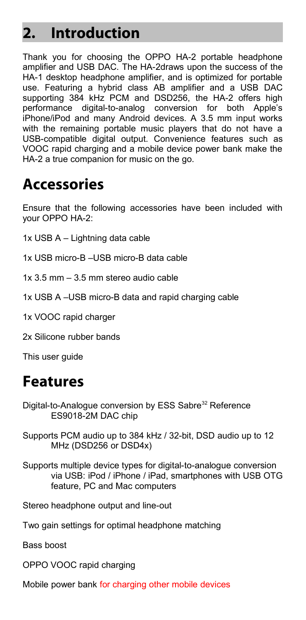### **2. Introduction**

Thank you for choosing the OPPO HA-2 portable headphone amplifier and USB DAC. The HA-2draws upon the success of the HA-1 desktop headphone amplifier, and is optimized for portable use. Featuring a hybrid class AB amplifier and a USB DAC supporting 384 kHz PCM and DSD256, the HA-2 offers high performance digital-to-analog conversion for both Apple's iPhone/iPod and many Android devices. A 3.5 mm input works with the remaining portable music players that do not have a USB-compatible digital output. Convenience features such as VOOC rapid charging and a mobile device power bank make the HA-2 a true companion for music on the go.

### **Accessories**

Ensure that the following accessories have been included with your OPPO HA-2:

- 1x USB A Lightning data cable
- 1x USB micro-B –USB micro-B data cable
- 1x 3.5 mm 3.5 mm stereo audio cable
- 1x USB A –USB micro-B data and rapid charging cable
- 1x VOOC rapid charger
- 2x Silicone rubber bands

This user guide

### **Features**

- Digital-to-Analogue conversion by ESS Sabre<sup>32</sup> Reference ES9018-2M DAC chip
- Supports PCM audio up to 384 kHz / 32-bit, DSD audio up to 12 MHz (DSD256 or DSD4x)
- Supports multiple device types for digital-to-analogue conversion via USB: iPod / iPhone / iPad, smartphones with USB OTG feature, PC and Mac computers
- Stereo headphone output and line-out
- Two gain settings for optimal headphone matching

Bass boost

- OPPO VOOC rapid charging
- Mobile power bank for charging other mobile devices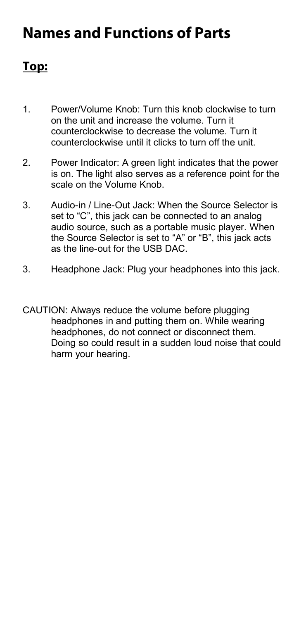### **Names and Functions of Parts**

### **Top:**

- 1. Power/Volume Knob: Turn this knob clockwise to turn on the unit and increase the volume. Turn it counterclockwise to decrease the volume. Turn it counterclockwise until it clicks to turn off the unit.
- 2. Power Indicator: A green light indicates that the power is on. The light also serves as a reference point for the scale on the Volume Knob.
- 3. Audio-in / Line-Out Jack: When the Source Selector is set to "C", this jack can be connected to an analog audio source, such as a portable music player. When the Source Selector is set to "A" or "B", this jack acts as the line-out for the USB DAC.
- 3. Headphone Jack: Plug your headphones into this jack.
- CAUTION: Always reduce the volume before plugging headphones in and putting them on. While wearing headphones, do not connect or disconnect them. Doing so could result in a sudden loud noise that could harm your hearing.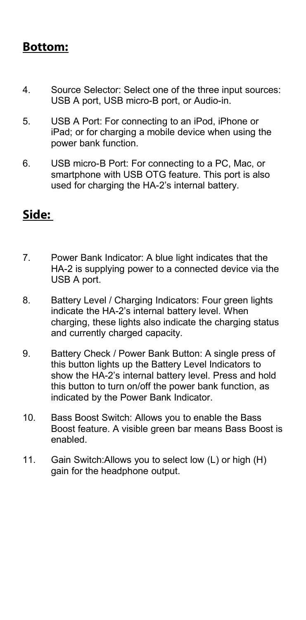### **Bottom:**

- 4. Source Selector: Select one of the three input sources: USB A port, USB micro-B port, or Audio-in.
- 5. USB A Port: For connecting to an iPod, iPhone or iPad; or for charging a mobile device when using the power bank function.
- 6. USB micro-B Port: For connecting to a PC, Mac, or smartphone with USB OTG feature. This port is also used for charging the HA-2's internal battery.

### **Side:**

- 7. Power Bank Indicator: A blue light indicates that the HA-2 is supplying power to a connected device via the USB A port.
- 8. Battery Level / Charging Indicators: Four green lights indicate the HA-2's internal battery level. When charging, these lights also indicate the charging status and currently charged capacity.
- 9. Battery Check / Power Bank Button: A single press of this button lights up the Battery Level Indicators to show the HA-2's internal battery level. Press and hold this button to turn on/off the power bank function, as indicated by the Power Bank Indicator.
- 10. Bass Boost Switch: Allows you to enable the Bass Boost feature. A visible green bar means Bass Boost is enabled.
- 11. Gain Switch:Allows you to select low (L) or high (H) gain for the headphone output.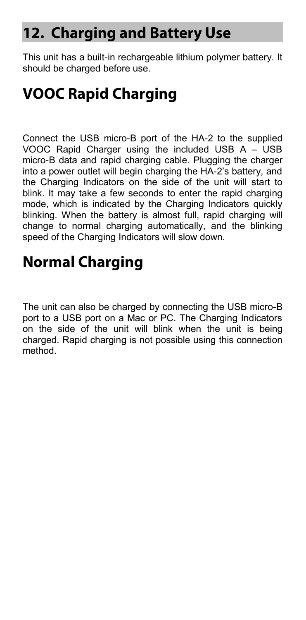### **12. Charging and Battery Use**

This unit has a built-in rechargeable lithium polymer battery. It should be charged before use.

## **VOOC Rapid Charging**

Connect the USB micro-B port of the HA-2 to the supplied VOOC Rapid Charger using the included USB A – USB micro-B data and rapid charging cable. Plugging the charger into a power outlet will begin charging the HA-2's battery, and the Charging Indicators on the side of the unit will start to blink. It may take a few seconds to enter the rapid charging mode, which is indicated by the Charging Indicators quickly blinking. When the battery is almost full, rapid charging will change to normal charging automatically, and the blinking speed of the Charging Indicators will slow down.

### **Normal Charging**

The unit can also be charged by connecting the USB micro-B port to a USB port on a Mac or PC. The Charging Indicators on the side of the unit will blink when the unit is being charged. Rapid charging is not possible using this connection method.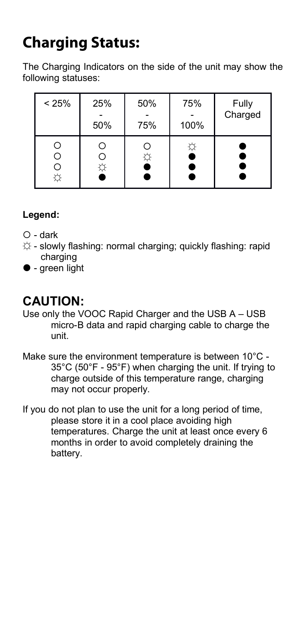# **Charging Status:**

The Charging Indicators on the side of the unit may show the following statuses:

| < 25% | 25% | 50% | 75%       | Fully   |
|-------|-----|-----|-----------|---------|
|       | 50% | 75% | 100%      | Charged |
| O     | O   | O   | ☆         |         |
| O     | O   | ☆   | $\bullet$ | c       |
| O     | Ö   |     | e         | e       |

#### **Legend:**

- $\bigcap$  dark
- ☼ slowly flashing: normal charging; quickly flashing: rapid charging
- $\bullet$  green light

### **CAUTION:**

- Use only the VOOC Rapid Charger and the USB A USB micro-B data and rapid charging cable to charge the unit.
- Make sure the environment temperature is between 10°C 35°C (50°F - 95°F) when charging the unit. If trying to charge outside of this temperature range, charging may not occur properly.
- If you do not plan to use the unit for a long period of time, please store it in a cool place avoiding high temperatures. Charge the unit at least once every 6 months in order to avoid completely draining the battery.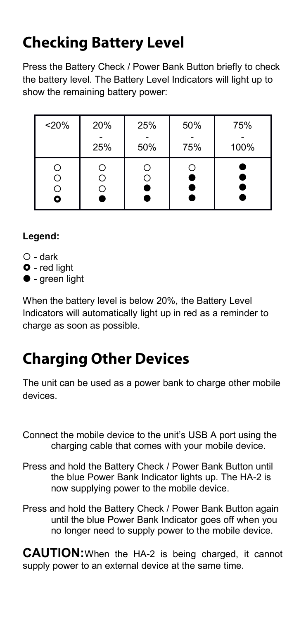# **Checking Battery Level**

Press the Battery Check / Power Bank Button briefly to check the battery level. The Battery Level Indicators will light up to show the remaining battery power:

| < 20% | 20% | 25%    | 50%    | 75%    |
|-------|-----|--------|--------|--------|
|       | 25% | 50%    | 75%    | 100%   |
|       |     | Ο<br>9 | O<br>9 | ٠<br>٠ |

#### **Legend:**

- $\bigcap$  dark
- **O** red light
- $\bullet$  green light

When the battery level is below 20%, the Battery Level Indicators will automatically light up in red as a reminder to charge as soon as possible.

# **Charging Other Devices**

The unit can be used as a power bank to charge other mobile devices.

Connect the mobile device to the unit's USB A port using the charging cable that comes with your mobile device.

- Press and hold the Battery Check / Power Bank Button until the blue Power Bank Indicator lights up. The HA-2 is now supplying power to the mobile device.
- Press and hold the Battery Check / Power Bank Button again until the blue Power Bank Indicator goes off when you no longer need to supply power to the mobile device.

**CAUTION:**When the HA-2 is being charged, it cannot supply power to an external device at the same time.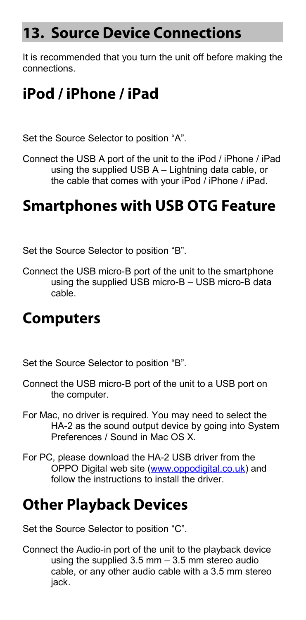### **13. Source Device Connections**

It is recommended that you turn the unit off before making the connections.

### **iPod / iPhone / iPad**

Set the Source Selector to position "A".

Connect the USB A port of the unit to the iPod / iPhone / iPad using the supplied USB A – Lightning data cable, or the cable that comes with your iPod / iPhone / iPad.

### **Smartphones with USB OTG Feature**

Set the Source Selector to position "B".

Connect the USB micro-B port of the unit to the smartphone using the supplied USB micro-B – USB micro-B data cable.

### **Computers**

Set the Source Selector to position "B".

- Connect the USB micro-B port of the unit to a USB port on the computer.
- For Mac, no driver is required. You may need to select the HA-2 as the sound output device by going into System Preferences / Sound in Mac OS X.
- For PC, please download the HA-2 USB driver from the OPPO Digital web site [\(www.oppodigital.co.uk\)](http://www.oppodigital.co.uk/) and follow the instructions to install the driver.

### **Other Playback Devices**

Set the Source Selector to position "C".

Connect the Audio-in port of the unit to the playback device using the supplied 3.5 mm – 3.5 mm stereo audio cable, or any other audio cable with a 3.5 mm stereo iack.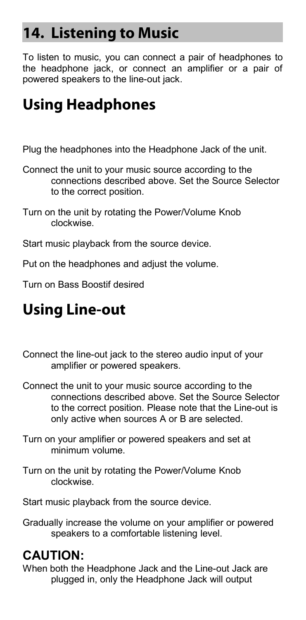### **14. Listening to Music**

To listen to music, you can connect a pair of headphones to the headphone jack, or connect an amplifier or a pair of powered speakers to the line-out jack.

## **Using Headphones**

Plug the headphones into the Headphone Jack of the unit.

- Connect the unit to your music source according to the connections described above. Set the Source Selector to the correct position.
- Turn on the unit by rotating the Power/Volume Knob clockwise.

Start music playback from the source device.

Put on the headphones and adjust the volume.

Turn on Bass Boostif desired

# **Using Line-out**

- Connect the line-out jack to the stereo audio input of your amplifier or powered speakers.
- Connect the unit to your music source according to the connections described above. Set the Source Selector to the correct position. Please note that the Line-out is only active when sources A or B are selected.
- Turn on your amplifier or powered speakers and set at minimum volume.
- Turn on the unit by rotating the Power/Volume Knob clockwise.

Start music playback from the source device.

Gradually increase the volume on your amplifier or powered speakers to a comfortable listening level.

### **CAUTION:**

When both the Headphone Jack and the Line-out Jack are plugged in, only the Headphone Jack will output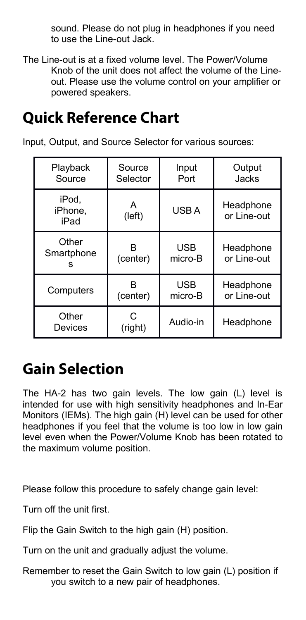sound. Please do not plug in headphones if you need to use the Line-out Jack.

The Line-out is at a fixed volume level. The Power/Volume Knob of the unit does not affect the volume of the Lineout. Please use the volume control on your amplifier or powered speakers.

### **Quick Reference Chart**

Input, Output, and Source Selector for various sources:

| Playback                 | Source       | Input      | Output                   |
|--------------------------|--------------|------------|--------------------------|
| Source                   | Selector     | Port       | Jacks                    |
| iPod.<br>iPhone.<br>iPad | А<br>(left)  | USB A      | Headphone<br>or Line-out |
| Other                    | R            | <b>USB</b> | Headphone                |
| Smartphone               | (center)     | micro-B    | or Line-out              |
| Computers                | R            | <b>USB</b> | Headphone                |
|                          | (center)     | micro-B    | or Line-out              |
| Other<br>Devices         | C<br>(right) | Audio-in   | Headphone                |

### **Gain Selection**

The HA-2 has two gain levels. The low gain (L) level is intended for use with high sensitivity headphones and In-Ear Monitors (IEMs). The high gain (H) level can be used for other headphones if you feel that the volume is too low in low gain level even when the Power/Volume Knob has been rotated to the maximum volume position.

Please follow this procedure to safely change gain level:

Turn off the unit first.

Flip the Gain Switch to the high gain (H) position.

Turn on the unit and gradually adjust the volume.

Remember to reset the Gain Switch to low gain (L) position if you switch to a new pair of headphones.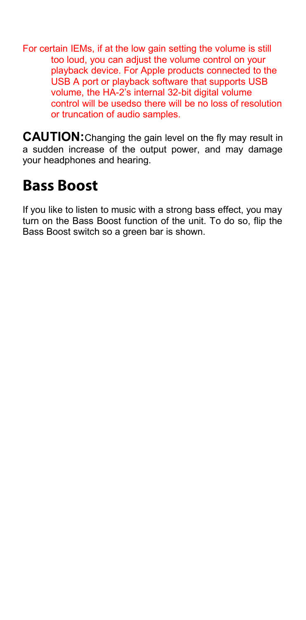For certain IEMs, if at the low gain setting the volume is still too loud, you can adjust the volume control on your playback device. For Apple products connected to the USB A port or playback software that supports USB volume, the HA-2's internal 32-bit digital volume control will be usedso there will be no loss of resolution or truncation of audio samples.

**CAUTION:**Changing the gain level on the fly may result in a sudden increase of the output power, and may damage your headphones and hearing.

### **Bass Boost**

If you like to listen to music with a strong bass effect, you may turn on the Bass Boost function of the unit. To do so, flip the Bass Boost switch so a green bar is shown.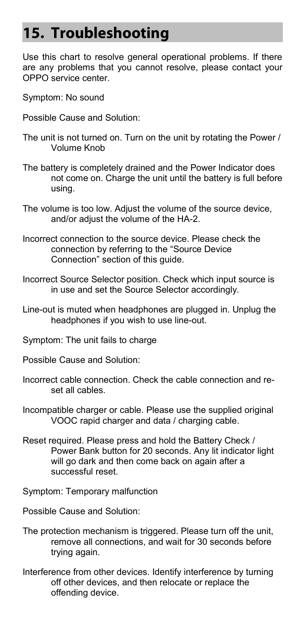### **15. Troubleshooting**

Use this chart to resolve general operational problems. If there are any problems that you cannot resolve, please contact your OPPO service center.

- Symptom: No sound
- Possible Cause and Solution:
- The unit is not turned on. Turn on the unit by rotating the Power / Volume Knob
- The battery is completely drained and the Power Indicator does not come on. Charge the unit until the battery is full before using.
- The volume is too low. Adjust the volume of the source device, and/or adjust the volume of the HA-2.
- Incorrect connection to the source device. Please check the connection by referring to the "Source Device Connection" section of this guide.
- Incorrect Source Selector position. Check which input source is in use and set the Source Selector accordingly.
- Line-out is muted when headphones are plugged in. Unplug the headphones if you wish to use line-out.
- Symptom: The unit fails to charge
- Possible Cause and Solution:
- Incorrect cable connection. Check the cable connection and reset all cables.
- Incompatible charger or cable. Please use the supplied original VOOC rapid charger and data / charging cable.
- Reset required. Please press and hold the Battery Check / Power Bank button for 20 seconds. Any lit indicator light will go dark and then come back on again after a successful reset.
- Symptom: Temporary malfunction
- Possible Cause and Solution:
- The protection mechanism is triggered. Please turn off the unit, remove all connections, and wait for 30 seconds before trying again.
- Interference from other devices. Identify interference by turning off other devices, and then relocate or replace the offending device.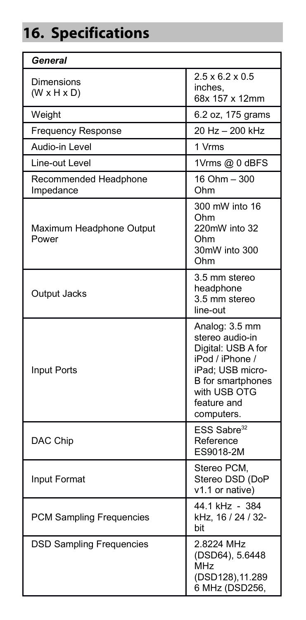# **16. Specifications**

| General                               |                                                                                                                                                                  |  |
|---------------------------------------|------------------------------------------------------------------------------------------------------------------------------------------------------------------|--|
| Dimensions<br>$(W \times H \times D)$ | $2.5 \times 6.2 \times 0.5$<br>inches.<br>68x 157 x 12mm                                                                                                         |  |
| Weight                                | 6.2 oz, 175 grams                                                                                                                                                |  |
| Frequency Response                    | 20 Hz - 200 kHz                                                                                                                                                  |  |
| Audio-in Level                        | 1 Vrms                                                                                                                                                           |  |
| Line-out Level                        | 1Vrms @ 0 dBFS                                                                                                                                                   |  |
| Recommended Headphone<br>Impedance    | 16 Ohm - 300<br>Ohm                                                                                                                                              |  |
| Maximum Headphone Output<br>Power     | 300 mW into 16<br>Ohm<br>220mW into 32<br>Ohm<br>30mW into 300<br>Ohm                                                                                            |  |
| Output Jacks                          | 3.5 mm stereo<br>headphone<br>3.5 mm stereo<br>line-out                                                                                                          |  |
| <b>Input Ports</b>                    | Analog: 3.5 mm<br>stereo audio-in<br>Digital: USB A for<br>iPod / iPhone /<br>iPad; USB micro-<br>B for smartphones<br>with USB OTG<br>feature and<br>computers. |  |
| DAC Chip                              | ESS Sabre <sup>32</sup><br>Reference<br>ES9018-2M                                                                                                                |  |
| Input Format                          | Stereo PCM,<br>Stereo DSD (DoP<br>v1.1 or native)                                                                                                                |  |
| PCM Sampling Frequencies              | 44.1 kHz - 384<br>kHz, 16 / 24 / 32-<br>bit                                                                                                                      |  |
| <b>DSD Sampling Frequencies</b>       | 2.8224 MHz<br>(DSD64), 5.6448<br>MHz<br>(DSD128), 11.289<br>6 MHz (DSD256,                                                                                       |  |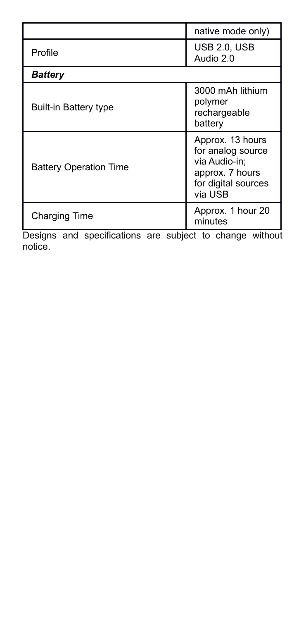|                               | native mode only)                                                                                           |  |  |
|-------------------------------|-------------------------------------------------------------------------------------------------------------|--|--|
| Profile                       | <b>USB 2.0. USB</b><br>Audio 2.0                                                                            |  |  |
| <b>Battery</b>                |                                                                                                             |  |  |
| Built-in Battery type         | 3000 mAh lithium<br>polymer<br>rechargeable<br>battery                                                      |  |  |
| <b>Battery Operation Time</b> | Approx. 13 hours<br>for analog source<br>via Audio-in:<br>approx. 7 hours<br>for digital sources<br>via USB |  |  |
| <b>Charging Time</b>          | Approx. 1 hour 20<br>minutes                                                                                |  |  |

Designs and specifications are subject to change without notice.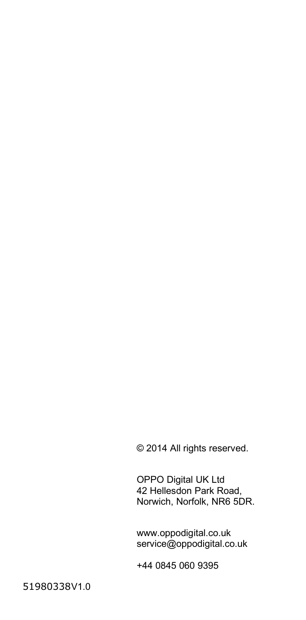© 2014 All rights reserved.

OPPO Digital UK Ltd 42 Hellesdon Park Road, Norwich, Norfolk, NR6 5DR.

www.oppodigital.co.uk service@oppodigital.co.uk

+44 0845 060 9395

51980338V1.0